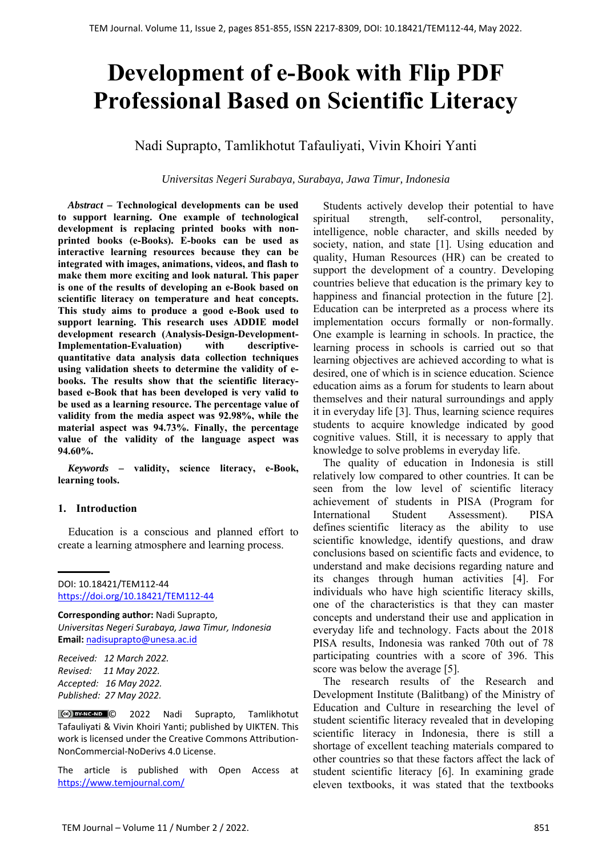# **Development of e-Book with Flip PDF Professional Based on Scientific Literacy**

Nadi Suprapto, Tamlikhotut Tafauliyati, Vivin Khoiri Yanti

*Universitas Negeri Surabaya, Surabaya, Jawa Timur, Indonesia*

*Abstract –* **Technological developments can be used to support learning. One example of technological development is replacing printed books with nonprinted books (e-Books). E-books can be used as interactive learning resources because they can be integrated with images, animations, videos, and flash to make them more exciting and look natural. This paper is one of the results of developing an e-Book based on scientific literacy on temperature and heat concepts. This study aims to produce a good e-Book used to support learning. This research uses ADDIE model development research (Analysis-Design-Development-Implementation-Evaluation) with descriptivequantitative data analysis data collection techniques using validation sheets to determine the validity of ebooks. The results show that the scientific literacybased e-Book that has been developed is very valid to be used as a learning resource. The percentage value of validity from the media aspect was 92.98%, while the material aspect was 94.73%. Finally, the percentage value of the validity of the language aspect was 94.60%.**

*Keywords –* **validity, science literacy, e-Book, learning tools.** 

# **1. Introduction**

Education is a conscious and planned effort to create a learning atmosphere and learning process.

DOI: 10.18421/TEM112-44 [https://doi.org/10.18421/TEM112](https://doi.org/10.18421/TEM112-44)-44

**Corresponding author:** Nadi Suprapto, *Universitas Negeri Surabaya, Jawa Timur, Indonesia*  **Email:** nadisuprapto@unesa.ac.id

*Received: 12 March 2022. Revised: 11 May 2022. Accepted: 16 May 2022. Published: 27 May 2022.* 

© 2022 Nadi Suprapto, Tamlikhotut Tafauliyati & Vivin Khoiri Yanti; published by UIKTEN. This work is licensed under the Creative Commons Attribution-NonCommercial‐NoDerivs 4.0 License.

The article is published with Open Access at https://www.temjournal.com/

Students actively develop their potential to have spiritual strength, self-control, personality, intelligence, noble character, and skills needed by society, nation, and state [1]. Using education and quality, Human Resources (HR) can be created to support the development of a country. Developing countries believe that education is the primary key to happiness and financial protection in the future [2]. Education can be interpreted as a process where its implementation occurs formally or non-formally. One example is learning in schools. In practice, the learning process in schools is carried out so that learning objectives are achieved according to what is desired, one of which is in science education. Science education aims as a forum for students to learn about themselves and their natural surroundings and apply it in everyday life [3]. Thus, learning science requires students to acquire knowledge indicated by good cognitive values. Still, it is necessary to apply that knowledge to solve problems in everyday life.

The quality of education in Indonesia is still relatively low compared to other countries. It can be seen from the low level of scientific literacy achievement of students in PISA (Program for International Student Assessment). PISA defines scientific literacy as the ability to use scientific knowledge, identify questions, and draw conclusions based on scientific facts and evidence, to understand and make decisions regarding nature and its changes through human activities [4]. For individuals who have high scientific literacy skills, one of the characteristics is that they can master concepts and understand their use and application in everyday life and technology. Facts about the 2018 PISA results, Indonesia was ranked 70th out of 78 participating countries with a score of 396. This score was below the average [5].

The research results of the Research and Development Institute (Balitbang) of the Ministry of Education and Culture in researching the level of student scientific literacy revealed that in developing scientific literacy in Indonesia, there is still a shortage of excellent teaching materials compared to other countries so that these factors affect the lack of student scientific literacy [6]. In examining grade eleven textbooks, it was stated that the textbooks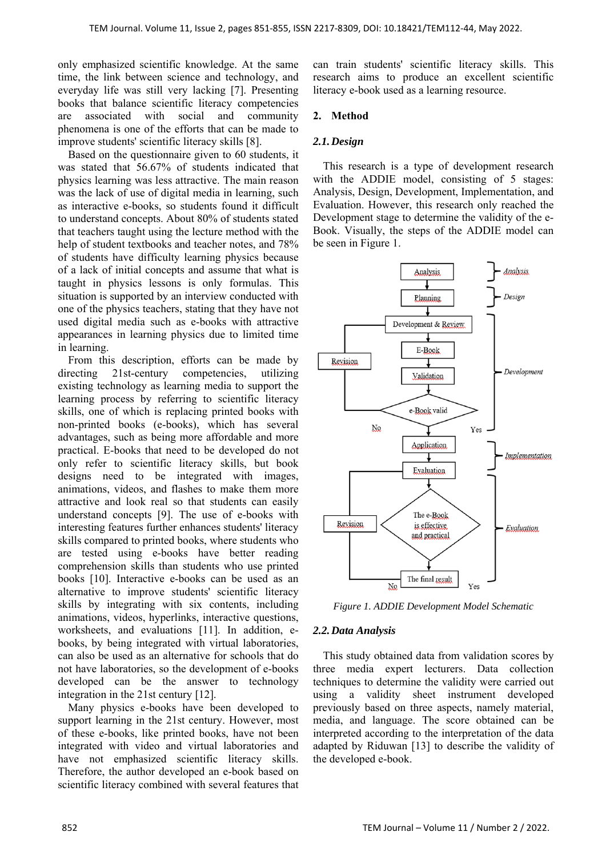only emphasized scientific knowledge. At the same time, the link between science and technology, and everyday life was still very lacking [7]. Presenting books that balance scientific literacy competencies are associated with social and community phenomena is one of the efforts that can be made to improve students' scientific literacy skills [8].

Based on the questionnaire given to 60 students, it was stated that 56.67% of students indicated that physics learning was less attractive. The main reason was the lack of use of digital media in learning, such as interactive e-books, so students found it difficult to understand concepts. About 80% of students stated that teachers taught using the lecture method with the help of student textbooks and teacher notes, and 78% of students have difficulty learning physics because of a lack of initial concepts and assume that what is taught in physics lessons is only formulas. This situation is supported by an interview conducted with one of the physics teachers, stating that they have not used digital media such as e-books with attractive appearances in learning physics due to limited time in learning.

From this description, efforts can be made by directing 21st-century competencies, utilizing existing technology as learning media to support the learning process by referring to scientific literacy skills, one of which is replacing printed books with non-printed books (e-books), which has several advantages, such as being more affordable and more practical. E-books that need to be developed do not only refer to scientific literacy skills, but book designs need to be integrated with images, animations, videos, and flashes to make them more attractive and look real so that students can easily understand concepts [9]. The use of e-books with interesting features further enhances students' literacy skills compared to printed books, where students who are tested using e-books have better reading comprehension skills than students who use printed books [10]. Interactive e-books can be used as an alternative to improve students' scientific literacy skills by integrating with six contents, including animations, videos, hyperlinks, interactive questions, worksheets, and evaluations [11]. In addition, ebooks, by being integrated with virtual laboratories, can also be used as an alternative for schools that do not have laboratories, so the development of e-books developed can be the answer to technology integration in the 21st century [12].

Many physics e-books have been developed to support learning in the 21st century. However, most of these e-books, like printed books, have not been integrated with video and virtual laboratories and have not emphasized scientific literacy skills. Therefore, the author developed an e-book based on scientific literacy combined with several features that can train students' scientific literacy skills. This research aims to produce an excellent scientific literacy e-book used as a learning resource.

#### **2. Method**

#### *2.1.Design*

This research is a type of development research with the ADDIE model, consisting of 5 stages: Analysis, Design, Development, Implementation, and Evaluation. However, this research only reached the Development stage to determine the validity of the e-Book. Visually, the steps of the ADDIE model can be seen in Figure 1.



*Figure 1. ADDIE Development Model Schematic* 

# *2.2.Data Analysis*

This study obtained data from validation scores by three media expert lecturers. Data collection techniques to determine the validity were carried out using a validity sheet instrument developed previously based on three aspects, namely material, media, and language. The score obtained can be interpreted according to the interpretation of the data adapted by Riduwan [13] to describe the validity of the developed e-book.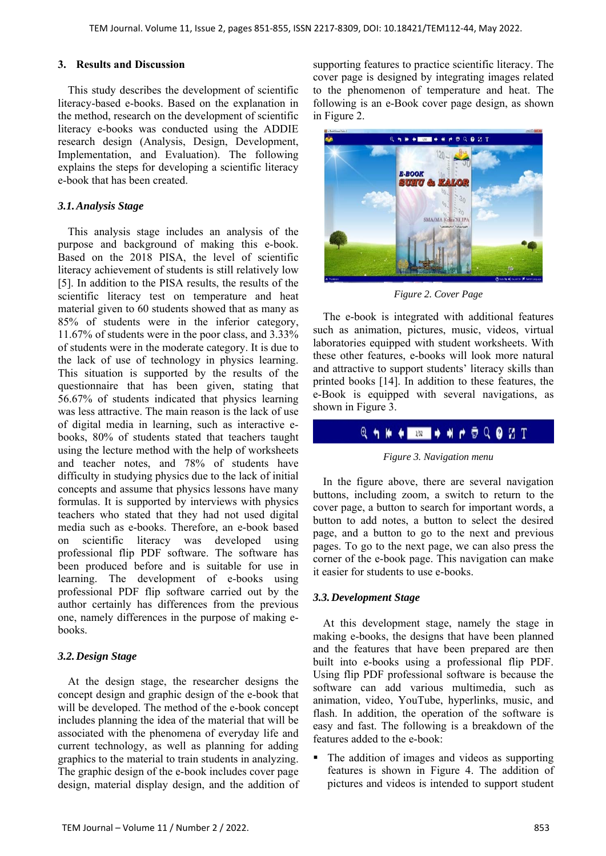#### **3. Results and Discussion**

This study describes the development of scientific literacy-based e-books. Based on the explanation in the method, research on the development of scientific literacy e-books was conducted using the ADDIE research design (Analysis, Design, Development, Implementation, and Evaluation). The following explains the steps for developing a scientific literacy e-book that has been created.

# *3.1.Analysis Stage*

This analysis stage includes an analysis of the purpose and background of making this e-book. Based on the 2018 PISA, the level of scientific literacy achievement of students is still relatively low [5]. In addition to the PISA results, the results of the scientific literacy test on temperature and heat material given to 60 students showed that as many as 85% of students were in the inferior category, 11.67% of students were in the poor class, and 3.33% of students were in the moderate category. It is due to the lack of use of technology in physics learning. This situation is supported by the results of the questionnaire that has been given, stating that 56.67% of students indicated that physics learning was less attractive. The main reason is the lack of use of digital media in learning, such as interactive ebooks, 80% of students stated that teachers taught using the lecture method with the help of worksheets and teacher notes, and 78% of students have difficulty in studying physics due to the lack of initial concepts and assume that physics lessons have many formulas. It is supported by interviews with physics teachers who stated that they had not used digital media such as e-books. Therefore, an e-book based on scientific literacy was developed using professional flip PDF software. The software has been produced before and is suitable for use in learning. The development of e-books using professional PDF flip software carried out by the author certainly has differences from the previous one, namely differences in the purpose of making ebooks.

# *3.2.Design Stage*

At the design stage, the researcher designs the concept design and graphic design of the e-book that will be developed. The method of the e-book concept includes planning the idea of the material that will be associated with the phenomena of everyday life and current technology, as well as planning for adding graphics to the material to train students in analyzing. The graphic design of the e-book includes cover page design, material display design, and the addition of supporting features to practice scientific literacy. The cover page is designed by integrating images related to the phenomenon of temperature and heat. The following is an e-Book cover page design, as shown in Figure 2.



*Figure 2. Cover Page* 

The e-book is integrated with additional features such as animation, pictures, music, videos, virtual laboratories equipped with student worksheets. With these other features, e-books will look more natural and attractive to support students' literacy skills than printed books [14]. In addition to these features, the e-Book is equipped with several navigations, as shown in Figure 3.

# **Q + H + B + H + D Q 0 E T**

*Figure 3. Navigation menu* 

In the figure above, there are several navigation buttons, including zoom, a switch to return to the cover page, a button to search for important words, a button to add notes, a button to select the desired page, and a button to go to the next and previous pages. To go to the next page, we can also press the corner of the e-book page. This navigation can make it easier for students to use e-books.

# *3.3.Development Stage*

At this development stage, namely the stage in making e-books, the designs that have been planned and the features that have been prepared are then built into e-books using a professional flip PDF. Using flip PDF professional software is because the software can add various multimedia, such as animation, video, YouTube, hyperlinks, music, and flash. In addition, the operation of the software is easy and fast. The following is a breakdown of the features added to the e-book:

 The addition of images and videos as supporting features is shown in Figure 4. The addition of pictures and videos is intended to support student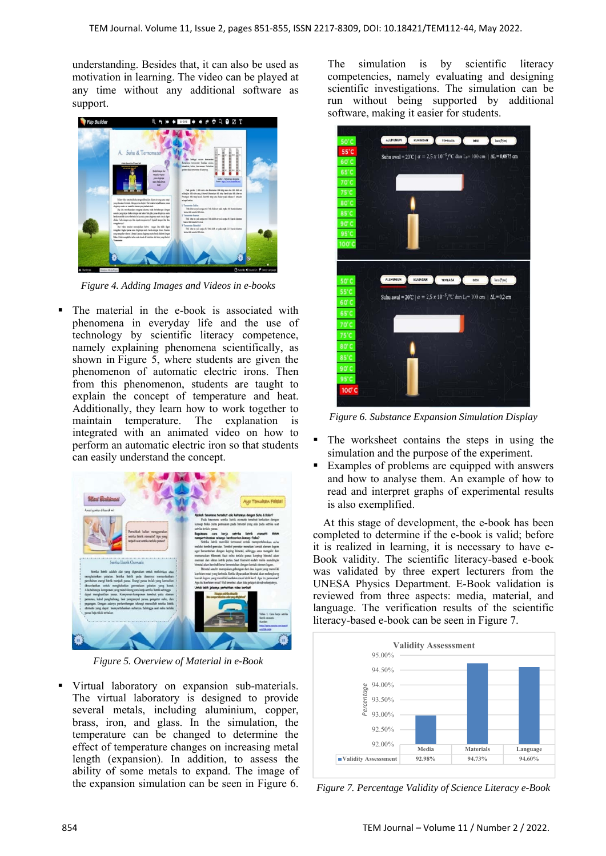understanding. Besides that, it can also be used as motivation in learning. The video can be played at any time without any additional software as support.



*Figure 4. Adding Images and Videos in e-books* 

 The material in the e-book is associated with phenomena in everyday life and the use of technology by scientific literacy competence, namely explaining phenomena scientifically, as shown in Figure 5, where students are given the phenomenon of automatic electric irons. Then from this phenomenon, students are taught to explain the concept of temperature and heat. Additionally, they learn how to work together to maintain temperature. The explanation is integrated with an animated video on how to perform an automatic electric iron so that students can easily understand the concept.



*Figure 5. Overview of Material in e-Book* 

 Virtual laboratory on expansion sub-materials. The virtual laboratory is designed to provide several metals, including aluminium, copper, brass, iron, and glass. In the simulation, the temperature can be changed to determine the effect of temperature changes on increasing metal length (expansion). In addition, to assess the ability of some metals to expand. The image of the expansion simulation can be seen in Figure 6.

The simulation is by scientific literacy competencies, namely evaluating and designing scientific investigations. The simulation can be run without being supported by additional software, making it easier for students.



*Figure 6. Substance Expansion Simulation Display* 

- The worksheet contains the steps in using the simulation and the purpose of the experiment.
- Examples of problems are equipped with answers and how to analyse them. An example of how to read and interpret graphs of experimental results is also exemplified.

At this stage of development, the e-book has been completed to determine if the e-book is valid; before it is realized in learning, it is necessary to have e-Book validity. The scientific literacy-based e-book was validated by three expert lecturers from the UNESA Physics Department. E-Book validation is reviewed from three aspects: media, material, and language. The verification results of the scientific literacy-based e-book can be seen in Figure 7.



*Figure 7. Percentage Validity of Science Literacy e-Book*